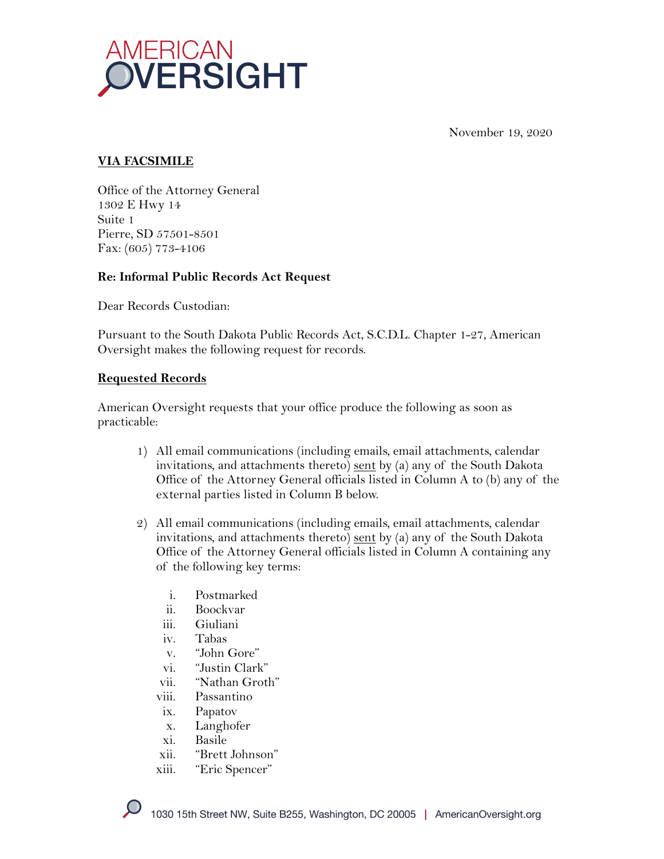

November 19, 2020

#### **VIA FACSIMILE**

Office of the Attorney General 1302 E Hwy 14 Suite 1 Pierre, SD 57501-8501 Fax: (605) 773-4106

#### **Re: Informal Public Records Act Request**

Dear Records Custodian:

Pursuant to the South Dakota Public Records Act, S.C.D.L. Chapter 1-27, American Oversight makes the following request for records.

#### **Requested Records**

American Oversight requests that your office produce the following as soon as practicable:

- 1) All email communications (including emails, email attachments, calendar invitations, and attachments thereto) sent by (a) any of the South Dakota Office of the Attorney General officials listed in Column A to (b) any of the external parties listed in Column B below.
- 2) All email communications (including emails, email attachments, calendar invitations, and attachments thereto) sent by (a) any of the South Dakota Office of the Attorney General officials listed in Column A containing any of the following key terms:
	- i. Postmarked
	- ii. Boockvar
	- iii. Giuliani
	- iv. Tabas
	- v. "John Gore"
	- vi. "Justin Clark"
	- vii. "Nathan Groth"
	- viii. Passantino
	- ix. Papatov
	- x. Langhofer
	- xi. Basile
	- xii. "Brett Johnson"
	- xiii. "Eric Spencer"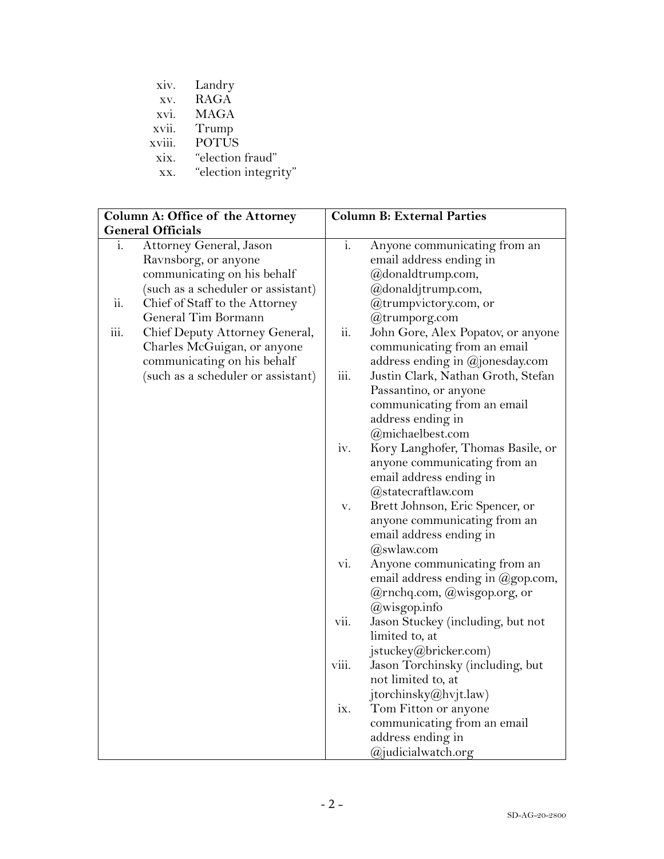|        | xiv. Landry      |
|--------|------------------|
| XV.    | RAGA             |
|        | xvi. MAGA        |
| xvii.  | Trump            |
| xviii. | <b>POTUS</b>     |
| xix.   | "election fraud" |
| T T T  | " $\lambda$ "    |

| XX. |  | "election integrity" |  |
|-----|--|----------------------|--|
|-----|--|----------------------|--|

|      | Column A: Office of the Attorney   |             | <b>Column B: External Parties</b>           |
|------|------------------------------------|-------------|---------------------------------------------|
|      | <b>General Officials</b>           |             |                                             |
| i.   | Attorney General, Jason            | i.          | Anyone communicating from an                |
|      | Ravnsborg, or anyone               |             | email address ending in                     |
|      | communicating on his behalf        |             | @donaldtrump.com,                           |
|      | (such as a scheduler or assistant) |             | @donaldjtrump.com,                          |
| ii.  | Chief of Staff to the Attorney     |             | @trumpvictory.com, or                       |
|      | General Tim Bormann                |             | @trumporg.com                               |
| iii. | Chief Deputy Attorney General,     | ii.         | John Gore, Alex Popatov, or anyone          |
|      | Charles McGuigan, or anyone        |             | communicating from an email                 |
|      | communicating on his behalf        |             | address ending in @jonesday.com             |
|      | (such as a scheduler or assistant) | iii.        | Justin Clark, Nathan Groth, Stefan          |
|      |                                    |             | Passantino, or anyone                       |
|      |                                    |             | communicating from an email                 |
|      |                                    |             | address ending in                           |
|      |                                    |             | @michaelbest.com                            |
|      |                                    | iv.         | Kory Langhofer, Thomas Basile, or           |
|      |                                    |             | anyone communicating from an                |
|      |                                    |             | email address ending in                     |
|      |                                    |             | @statecraftlaw.com                          |
|      |                                    | ${\bf V}$ . | Brett Johnson, Eric Spencer, or             |
|      |                                    |             | anyone communicating from an                |
|      |                                    |             | email address ending in                     |
|      |                                    |             | $(a)$ swlaw.com                             |
|      |                                    | vi.         | Anyone communicating from an                |
|      |                                    |             | email address ending in $(\omega)$ gop.com, |
|      |                                    |             | @rnchq.com, @wisgop.org, or                 |
|      |                                    |             | @wisgop.info                                |
|      |                                    | VII.        | Jason Stuckey (including, but not           |
|      |                                    |             | limited to, at                              |
|      |                                    |             | jstuckey@bricker.com)                       |
|      |                                    | viii.       | Jason Torchinsky (including, but            |
|      |                                    |             | not limited to, at                          |
|      |                                    |             | jtorchinsky@hvjt.law)                       |
|      |                                    | ix.         | Tom Fitton or anyone                        |
|      |                                    |             | communicating from an email                 |
|      |                                    |             | address ending in                           |
|      |                                    |             | @judicialwatch.org                          |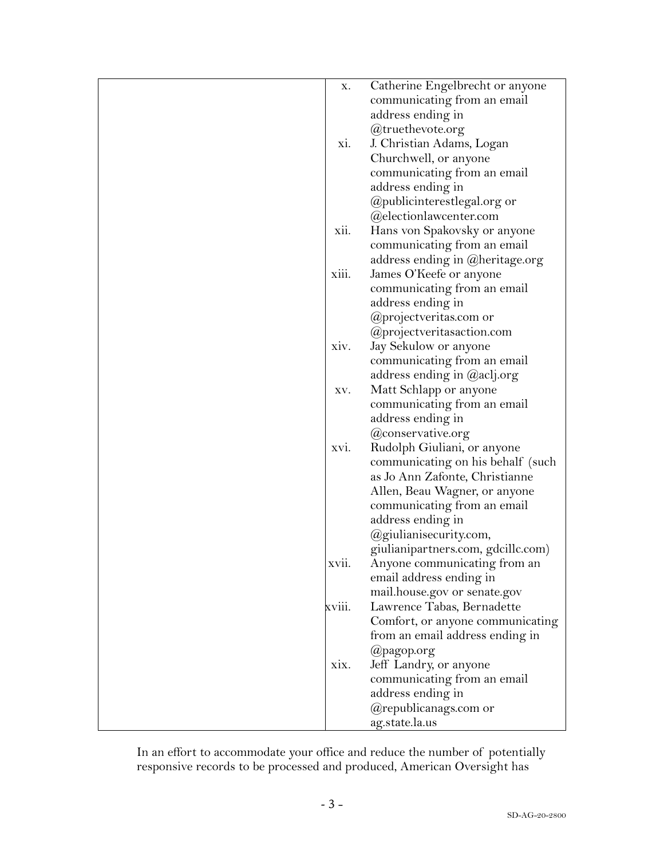| х.     | Catherine Engelbrecht or anyone    |
|--------|------------------------------------|
|        | communicating from an email        |
|        | address ending in                  |
|        | @truethevote.org                   |
| xi.    | J. Christian Adams, Logan          |
|        | Churchwell, or anyone              |
|        | communicating from an email        |
|        | address ending in                  |
|        | @publicinterestlegal.org or        |
|        | @electionlawcenter.com             |
|        |                                    |
| xii.   | Hans von Spakovsky or anyone       |
|        | communicating from an email        |
|        | address ending in @heritage.org    |
| xiii.  | James O'Keefe or anyone            |
|        | communicating from an email        |
|        | address ending in                  |
|        | @projectveritas.com or             |
|        | @projectveritasaction.com          |
| xiv.   | Jay Sekulow or anyone              |
|        | communicating from an email        |
|        | address ending in @aclj.org        |
| XV.    | Matt Schlapp or anyone             |
|        | communicating from an email        |
|        | address ending in                  |
|        | @conservative.org                  |
| xvi.   | Rudolph Giuliani, or anyone        |
|        | communicating on his behalf (such  |
|        | as Jo Ann Zafonte, Christianne     |
|        | Allen, Beau Wagner, or anyone      |
|        | communicating from an email        |
|        | address ending in                  |
|        | @giulianisecurity.com,             |
|        | giulianipartners.com, gdcillc.com) |
| xvii.  | Anyone communicating from an       |
|        | email address ending in            |
|        | mail.house.gov or senate.gov       |
| xviii. | Lawrence Tabas, Bernadette         |
|        |                                    |
|        | Comfort, or anyone communicating   |
|        | from an email address ending in    |
|        | @pagop.org                         |
| XIX.   | Jeff Landry, or anyone             |
|        | communicating from an email        |
|        | address ending in                  |
|        | @republicanags.com or              |
|        | ag.state.la.us                     |

In an effort to accommodate your office and reduce the number of potentially responsive records to be processed and produced, American Oversight has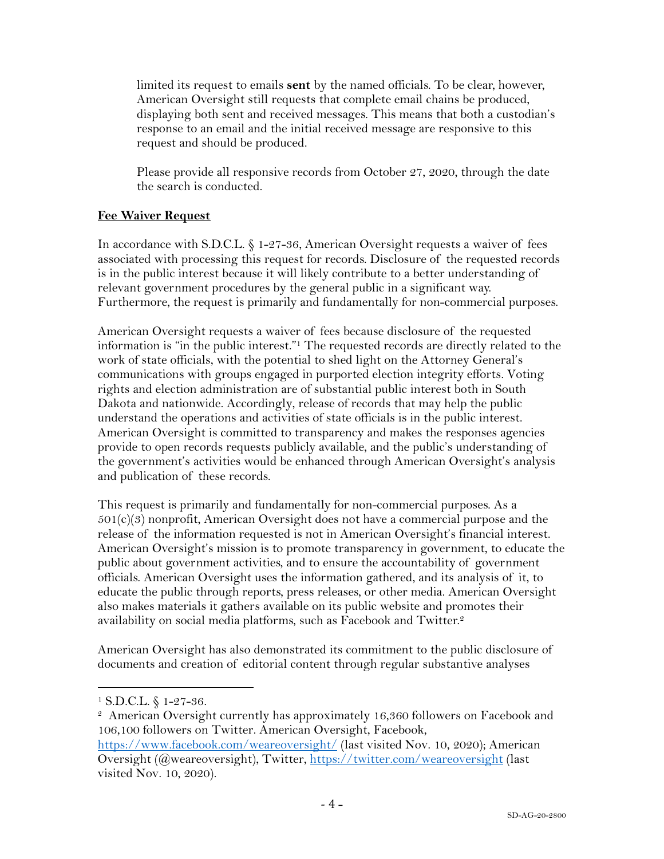limited its request to emails **sent** by the named officials. To be clear, however, American Oversight still requests that complete email chains be produced, displaying both sent and received messages. This means that both a custodian's response to an email and the initial received message are responsive to this request and should be produced.

Please provide all responsive records from October 27, 2020, through the date the search is conducted.

# **Fee Waiver Request**

In accordance with S.D.C.L. § 1-27-36, American Oversight requests a waiver of fees associated with processing this request for records. Disclosure of the requested records is in the public interest because it will likely contribute to a better understanding of relevant government procedures by the general public in a significant way. Furthermore, the request is primarily and fundamentally for non-commercial purposes.

American Oversight requests a waiver of fees because disclosure of the requested information is "in the public interest."1 The requested records are directly related to the work of state officials, with the potential to shed light on the Attorney General's communications with groups engaged in purported election integrity efforts. Voting rights and election administration are of substantial public interest both in South Dakota and nationwide. Accordingly, release of records that may help the public understand the operations and activities of state officials is in the public interest. American Oversight is committed to transparency and makes the responses agencies provide to open records requests publicly available, and the public's understanding of the government's activities would be enhanced through American Oversight's analysis and publication of these records.

This request is primarily and fundamentally for non-commercial purposes. As a  $501(c)(3)$  nonprofit, American Oversight does not have a commercial purpose and the release of the information requested is not in American Oversight's financial interest. American Oversight's mission is to promote transparency in government, to educate the public about government activities, and to ensure the accountability of government officials. American Oversight uses the information gathered, and its analysis of it, to educate the public through reports, press releases, or other media. American Oversight also makes materials it gathers available on its public website and promotes their availability on social media platforms, such as Facebook and Twitter.<sup>2</sup>

American Oversight has also demonstrated its commitment to the public disclosure of documents and creation of editorial content through regular substantive analyses

<sup>1</sup> S.D.C.L. § 1-27-36.

<sup>&</sup>lt;sup>2</sup> American Oversight currently has approximately 16,360 followers on Facebook and 106,100 followers on Twitter. American Oversight, Facebook,

https://www.facebook.com/weareoversight/ (last visited Nov. 10, 2020); American Oversight (@weareoversight), Twitter, https://twitter.com/weareoversight (last visited Nov. 10, 2020).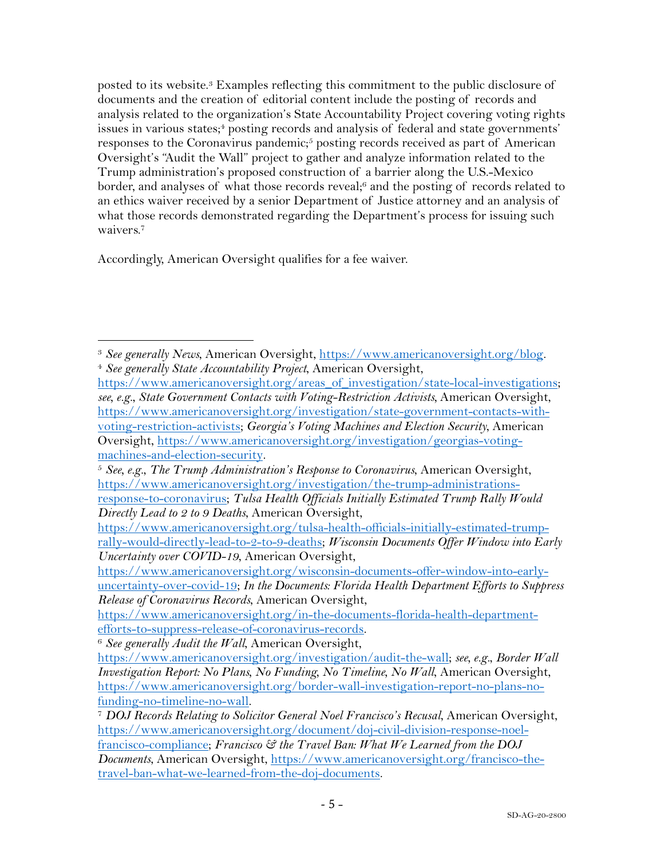posted to its website.3 Examples reflecting this commitment to the public disclosure of documents and the creation of editorial content include the posting of records and analysis related to the organization's State Accountability Project covering voting rights issues in various states;<sup>4</sup> posting records and analysis of federal and state governments' responses to the Coronavirus pandemic;<sup>5</sup> posting records received as part of American Oversight's "Audit the Wall" project to gather and analyze information related to the Trump administration's proposed construction of a barrier along the U.S.-Mexico border, and analyses of what those records reveal;<sup>6</sup> and the posting of records related to an ethics waiver received by a senior Department of Justice attorney and an analysis of what those records demonstrated regarding the Department's process for issuing such waivers<sup>7</sup>

Accordingly, American Oversight qualifies for a fee waiver.

<sup>3</sup> *See generally News*, American Oversight, https://www.americanoversight.org/blog. 4 *See generally State Accountability Project*, American Oversight,

https://www.americanoversight.org/areas\_of\_investigation/state-local-investigations; *see, e.g.*, *State Government Contacts with Voting-Restriction Activists,* American Oversight, https://www.americanoversight.org/investigation/state-government-contacts-withvoting-restriction-activists; *Georgia's Voting Machines and Election Security*, American Oversight, https://www.americanoversight.org/investigation/georgias-votingmachines-and-election-security. 5 *See, e.g.*, *The Trump Administration's Response to Coronavirus*, American Oversight,

https://www.americanoversight.org/investigation/the-trump-administrations-

response-to-coronavirus; *Tulsa Health Officials Initially Estimated Trump Rally Would Directly Lead to 2 to 9 Deaths*, American Oversight,

https://www.americanoversight.org/tulsa-health-officials-initially-estimated-trumprally-would-directly-lead-to-2-to-9-deaths; *Wisconsin Documents Offer Window into Early Uncertainty over COVID-19*, American Oversight,

https://www.americanoversight.org/wisconsin-documents-offer-window-into-earlyuncertainty-over-covid-19; *In the Documents: Florida Health Department Efforts to Suppress Release of Coronavirus Records*, American Oversight,

https://www.americanoversight.org/in-the-documents-florida-health-department-

<sup>&</sup>lt;sup>6</sup> See generally Audit the Wall, American Oversight,

https://www.americanoversight.org/investigation/audit-the-wall; *see, e.g.*, *Border Wall Investigation Report: No Plans, No Funding, No Timeline, No Wall*, American Oversight, https://www.americanoversight.org/border-wall-investigation-report-no-plans-nofunding-no-timeline-no-wall. 7 *DOJ Records Relating to Solicitor General Noel Francisco's Recusal*, American Oversight,

https://www.americanoversight.org/document/doj-civil-division-response-noelfrancisco-compliance; *Francisco & the Travel Ban: What We Learned from the DOJ Documents*, American Oversight, https://www.americanoversight.org/francisco-thetravel-ban-what-we-learned-from-the-doj-documents.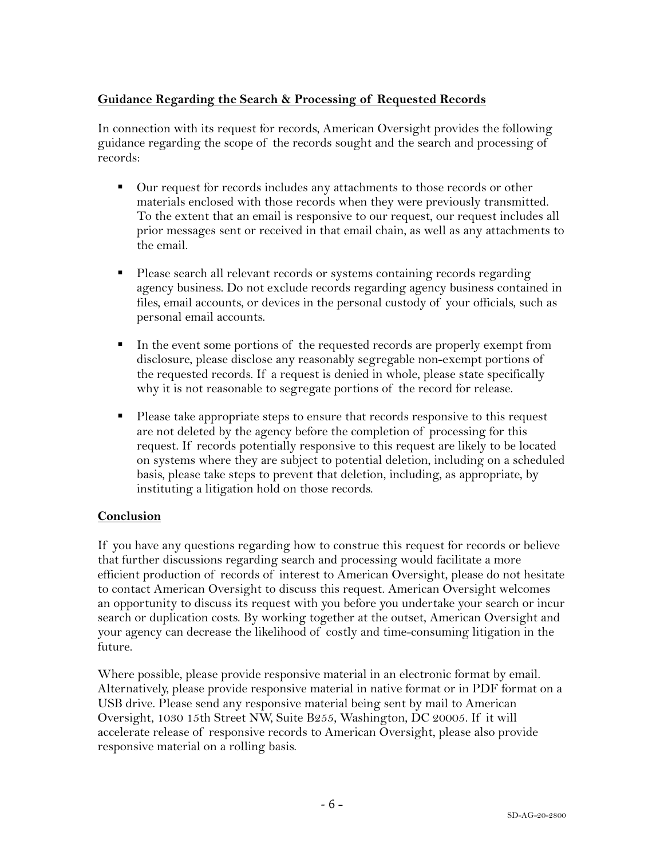# **Guidance Regarding the Search & Processing of Requested Records**

In connection with its request for records, American Oversight provides the following guidance regarding the scope of the records sought and the search and processing of records:

- Our request for records includes any attachments to those records or other materials enclosed with those records when they were previously transmitted. To the extent that an email is responsive to our request, our request includes all prior messages sent or received in that email chain, as well as any attachments to the email.
- Please search all relevant records or systems containing records regarding agency business. Do not exclude records regarding agency business contained in files, email accounts, or devices in the personal custody of your officials, such as personal email accounts.
- In the event some portions of the requested records are properly exempt from disclosure, please disclose any reasonably segregable non-exempt portions of the requested records. If a request is denied in whole, please state specifically why it is not reasonable to segregate portions of the record for release.
- Please take appropriate steps to ensure that records responsive to this request are not deleted by the agency before the completion of processing for this request. If records potentially responsive to this request are likely to be located on systems where they are subject to potential deletion, including on a scheduled basis, please take steps to prevent that deletion, including, as appropriate, by instituting a litigation hold on those records.

# **Conclusion**

If you have any questions regarding how to construe this request for records or believe that further discussions regarding search and processing would facilitate a more efficient production of records of interest to American Oversight, please do not hesitate to contact American Oversight to discuss this request. American Oversight welcomes an opportunity to discuss its request with you before you undertake your search or incur search or duplication costs. By working together at the outset, American Oversight and your agency can decrease the likelihood of costly and time-consuming litigation in the future.

Where possible, please provide responsive material in an electronic format by email. Alternatively, please provide responsive material in native format or in PDF format on a USB drive. Please send any responsive material being sent by mail to American Oversight, 1030 15th Street NW, Suite B255, Washington, DC 20005. If it will accelerate release of responsive records to American Oversight, please also provide responsive material on a rolling basis.